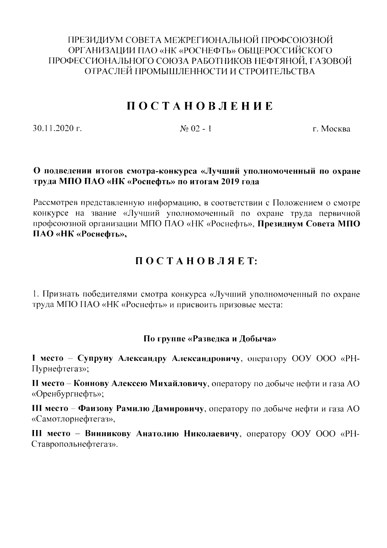ПРЕЗИДИУМ СОВЕТА МЕЖРЕГИОНАЛЬНОЙ ПРОФСОЮЗНОЙ ОРГАНИЗАЦИИ ПАО «НК «РОСНЕФТЬ» ОБЩЕРОССИЙСКОГО ПРОФЕССИОНАЛЬНОГО СОЮЗА РАБОТНИКОВ НЕФТЯНОЙ, ГАЗОВОЙ ОТРАСЛЕЙ ПРОМЫШЛЕННОСТИ И СТРОИТЕЛЬСТВА

# **ПОСТАНОВЛЕНИЕ**

 $30.11.2020$  r.

 $No$   $02 - 1$ 

г. Москва

#### О подведении итогов смотра-конкурса «Лучший уполномоченный по охране труда МПО ПАО «НК «Роснефть» по итогам 2019 года

Рассмотрев представленную информацию, в соответствии с Положением о смотре конкурсе на звание «Лучший уполномоченный по охране труда первичной профсоюзной организации МПО ПАО «НК «Роснефть», Президиум Совета МПО ПАО «НК «Роснефть»,

# ПОСТАНОВЛЯЕТ:

1. Признать победителями смотра конкурса «Лучший уполномоченный по охране труда МПО ПАО «НК «Роснефть» и присвоить призовые места:

## По группе «Разведка и Добыча»

I место - Супруну Александру Александровичу, оператору ООУ ООО «PH-Пурнефтегаз»;

II место - Коннову Алексею Михайловичу, оператору по добыче нефти и газа AO «Оренбургнефть»;

III место - Фаизову Рамилю Дамировичу, оператору по добыче нефти и газа AO «Самотлорнефтегаз».

III место - Винникову Анатолию Николаевичу, оператору ООУ ООО «PH-Ставропольнефтегаз».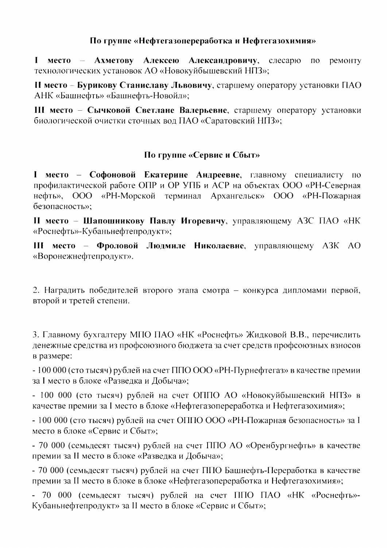#### По группе «Нефтегазопереработка и Нефтегазохимия»

I место - Ахметову Алексею Александровичу, слесарю  $\Pi$ O ремонту технологических установок АО «Новокуйбышевский НПЗ»;

II место – Бурикову Станиславу Львовичу, старшему оператору установки ПАО АНК «Башнефть» «Башнефть-Новойл»;

III место - Сычковой Светлане Валерьевне, старшему оператору установки биологической очистки сточных вод ПАО «Саратовский НПЗ»:

## По группе «Сервис и Сбыт»

I место - Софоновой Екатерине Андреевне, главному специалисту по профилактической работе ОПР и ОР УПБ и АСР на объектах ООО «РН-Северная нефть». 000 «РН-Морской терминал Архангельск» ООО «РН-Пожарная безопасность»:

II место - Шапошникову Павлу Игоревичу, управляющему АЗС ПАО «НК «Роснефть»-Кубаньнефтепродукт»;

III место - Фроловой Людмиле Николаевне, управляющему АЗК АО «Воронежнефтепродукт».

2. Наградить победителей второго этапа смотра - конкурса дипломами первой, второй и третей степени.

3. Главному бухгалтеру МПО ПАО «НК «Роснефть» Жидковой В.В., перечислить денежные средства из профсоюзного бюджета за счет средств профсоюзных взносов в размере:

- 100 000 (сто тысяч) рублей на счет ППО ООО «РН-Пурнефтегаз» в качестве премии за I место в блоке «Разведка и Добыча»;

- 100 000 (сто тысяч) рублей на счет ОППО АО «Новокуйбышевский НПЗ» в качестве премии за I место в блоке «Нефтегазопереработка и Нефтегазохимия»;

- 100 000 (сто тысяч) рублей на счет ОППО ООО «РН-Пожарная безопасность» за I место в блоке «Сервис и Сбыт»;

- 70 000 (семьдесят тысяч) рублей на счет ППО АО «Оренбургнефть» в качестве премии за II место в блоке «Разведка и Добыча»;

- 70 000 (семьдесят тысяч) рублей на счет ППО Башнефть-Переработка в качестве премии за II место в блоке в блоке «Нефтегазопереработка и Нефтегазохимия»;

- 70 000 (семьдесят тысяч) рублей на счет ППО ПАО «НК «Роснефть»-Кубаньнефтепродукт» за II место в блоке «Сервис и Сбыт»;